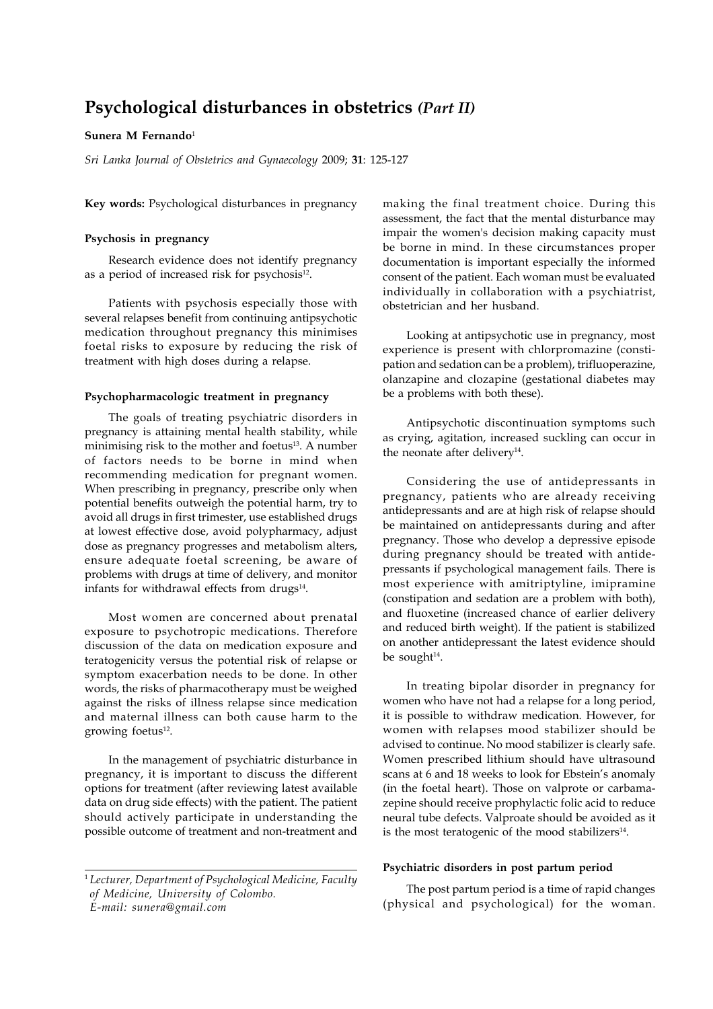# **Psychological disturbances in obstetrics** *(Part II)*

# **Sunera M Fernando**<sup>1</sup>

*Sri Lanka Journal of Obstetrics and Gynaecology* 2009; **31**: 125-127

**Key words:** Psychological disturbances in pregnancy

## **Psychosis in pregnancy**

Research evidence does not identify pregnancy as a period of increased risk for psychosis<sup>12</sup>.

Patients with psychosis especially those with several relapses benefit from continuing antipsychotic medication throughout pregnancy this minimises foetal risks to exposure by reducing the risk of treatment with high doses during a relapse.

#### **Psychopharmacologic treatment in pregnancy**

The goals of treating psychiatric disorders in pregnancy is attaining mental health stability, while minimising risk to the mother and foetus<sup>13</sup>. A number of factors needs to be borne in mind when recommending medication for pregnant women. When prescribing in pregnancy, prescribe only when potential benefits outweigh the potential harm, try to avoid all drugs in first trimester, use established drugs at lowest effective dose, avoid polypharmacy, adjust dose as pregnancy progresses and metabolism alters, ensure adequate foetal screening, be aware of problems with drugs at time of delivery, and monitor infants for withdrawal effects from drugs<sup>14</sup>.

Most women are concerned about prenatal exposure to psychotropic medications. Therefore discussion of the data on medication exposure and teratogenicity versus the potential risk of relapse or symptom exacerbation needs to be done. In other words, the risks of pharmacotherapy must be weighed against the risks of illness relapse since medication and maternal illness can both cause harm to the growing foetus<sup>12</sup>.

In the management of psychiatric disturbance in pregnancy, it is important to discuss the different options for treatment (after reviewing latest available data on drug side effects) with the patient. The patient should actively participate in understanding the possible outcome of treatment and non-treatment and making the final treatment choice. During this assessment, the fact that the mental disturbance may impair the women's decision making capacity must be borne in mind. In these circumstances proper documentation is important especially the informed consent of the patient. Each woman must be evaluated individually in collaboration with a psychiatrist, obstetrician and her husband.

Looking at antipsychotic use in pregnancy, most experience is present with chlorpromazine (constipation and sedation can be a problem), trifluoperazine, olanzapine and clozapine (gestational diabetes may be a problems with both these).

Antipsychotic discontinuation symptoms such as crying, agitation, increased suckling can occur in the neonate after delivery<sup>14</sup>.

Considering the use of antidepressants in pregnancy, patients who are already receiving antidepressants and are at high risk of relapse should be maintained on antidepressants during and after pregnancy. Those who develop a depressive episode during pregnancy should be treated with antidepressants if psychological management fails. There is most experience with amitriptyline, imipramine (constipation and sedation are a problem with both), and fluoxetine (increased chance of earlier delivery and reduced birth weight). If the patient is stabilized on another antidepressant the latest evidence should be sought $14$ .

In treating bipolar disorder in pregnancy for women who have not had a relapse for a long period, it is possible to withdraw medication. However, for women with relapses mood stabilizer should be advised to continue. No mood stabilizer is clearly safe. Women prescribed lithium should have ultrasound scans at 6 and 18 weeks to look for Ebstein's anomaly (in the foetal heart). Those on valprote or carbamazepine should receive prophylactic folic acid to reduce neural tube defects. Valproate should be avoided as it is the most teratogenic of the mood stabilizers<sup>14</sup>.

# **Psychiatric disorders in post partum period**

The post partum period is a time of rapid changes (physical and psychological) for the woman.

<sup>1</sup> *Lecturer, Department of Psychological Medicine, Faculty of Medicine, University of Colombo. E-mail: sunera@gmail.com*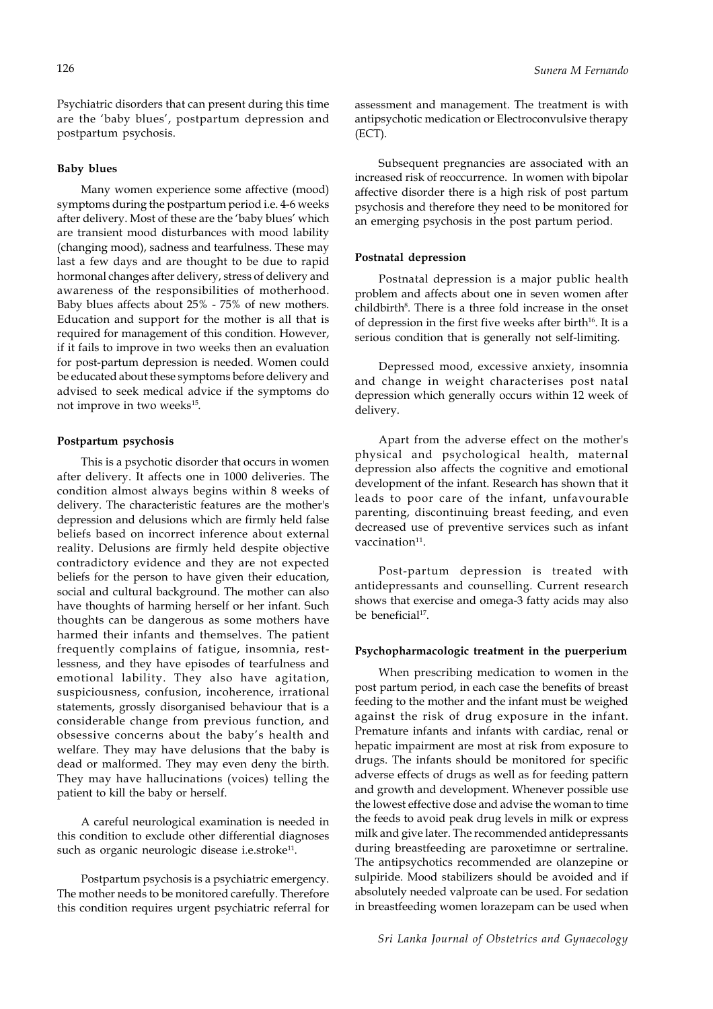Psychiatric disorders that can present during this time are the 'baby blues', postpartum depression and postpartum psychosis.

#### **Baby blues**

Many women experience some affective (mood) symptoms during the postpartum period i.e. 4-6 weeks after delivery. Most of these are the 'baby blues' which are transient mood disturbances with mood lability (changing mood), sadness and tearfulness. These may last a few days and are thought to be due to rapid hormonal changes after delivery, stress of delivery and awareness of the responsibilities of motherhood. Baby blues affects about 25% - 75% of new mothers. Education and support for the mother is all that is required for management of this condition. However, if it fails to improve in two weeks then an evaluation for post-partum depression is needed. Women could be educated about these symptoms before delivery and advised to seek medical advice if the symptoms do not improve in two weeks<sup>15</sup>.

#### **Postpartum psychosis**

This is a psychotic disorder that occurs in women after delivery. It affects one in 1000 deliveries. The condition almost always begins within 8 weeks of delivery. The characteristic features are the mother's depression and delusions which are firmly held false beliefs based on incorrect inference about external reality. Delusions are firmly held despite objective contradictory evidence and they are not expected beliefs for the person to have given their education, social and cultural background. The mother can also have thoughts of harming herself or her infant. Such thoughts can be dangerous as some mothers have harmed their infants and themselves. The patient frequently complains of fatigue, insomnia, restlessness, and they have episodes of tearfulness and emotional lability. They also have agitation, suspiciousness, confusion, incoherence, irrational statements, grossly disorganised behaviour that is a considerable change from previous function, and obsessive concerns about the baby's health and welfare. They may have delusions that the baby is dead or malformed. They may even deny the birth. They may have hallucinations (voices) telling the patient to kill the baby or herself.

A careful neurological examination is needed in this condition to exclude other differential diagnoses such as organic neurologic disease i.e.stroke<sup>11</sup>.

Postpartum psychosis is a psychiatric emergency. The mother needs to be monitored carefully. Therefore this condition requires urgent psychiatric referral for assessment and management. The treatment is with antipsychotic medication or Electroconvulsive therapy (ECT).

Subsequent pregnancies are associated with an increased risk of reoccurrence. In women with bipolar affective disorder there is a high risk of post partum psychosis and therefore they need to be monitored for an emerging psychosis in the post partum period.

### **Postnatal depression**

Postnatal depression is a major public health problem and affects about one in seven women after childbirth<sup>8</sup>. There is a three fold increase in the onset of depression in the first five weeks after birth<sup>16</sup>. It is a serious condition that is generally not self-limiting.

Depressed mood, excessive anxiety, insomnia and change in weight characterises post natal depression which generally occurs within 12 week of delivery.

Apart from the adverse effect on the mother's physical and psychological health, maternal depression also affects the cognitive and emotional development of the infant. Research has shown that it leads to poor care of the infant, unfavourable parenting, discontinuing breast feeding, and even decreased use of preventive services such as infant vaccination<sup>11</sup>.

Post-partum depression is treated with antidepressants and counselling. Current research shows that exercise and omega-3 fatty acids may also be beneficial<sup>17</sup>.

#### **Psychopharmacologic treatment in the puerperium**

When prescribing medication to women in the post partum period, in each case the benefits of breast feeding to the mother and the infant must be weighed against the risk of drug exposure in the infant. Premature infants and infants with cardiac, renal or hepatic impairment are most at risk from exposure to drugs. The infants should be monitored for specific adverse effects of drugs as well as for feeding pattern and growth and development. Whenever possible use the lowest effective dose and advise the woman to time the feeds to avoid peak drug levels in milk or express milk and give later. The recommended antidepressants during breastfeeding are paroxetimne or sertraline. The antipsychotics recommended are olanzepine or sulpiride. Mood stabilizers should be avoided and if absolutely needed valproate can be used. For sedation in breastfeeding women lorazepam can be used when